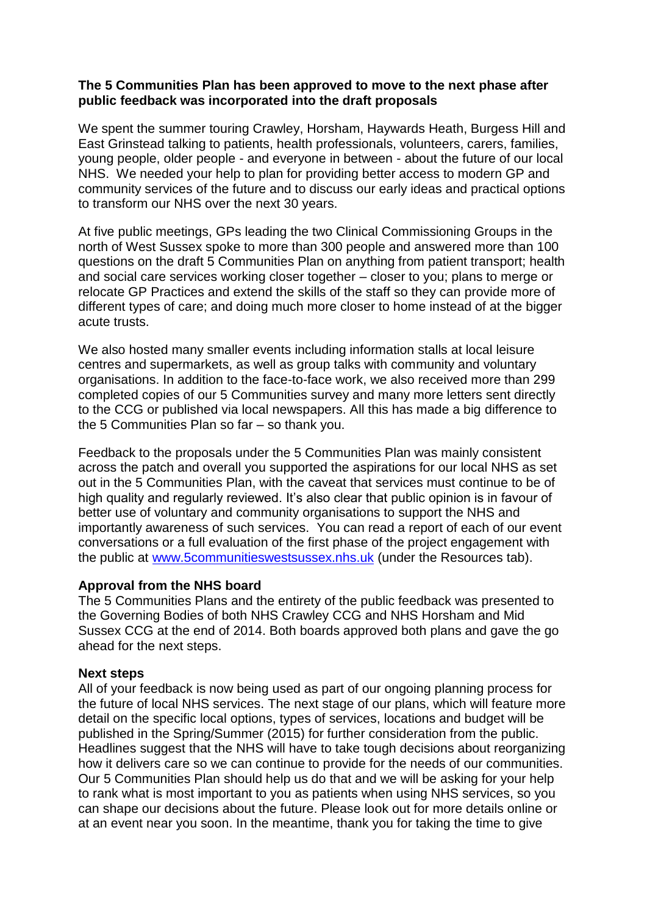## **The 5 Communities Plan has been approved to move to the next phase after public feedback was incorporated into the draft proposals**

We spent the summer touring Crawley, Horsham, Haywards Heath, Burgess Hill and East Grinstead talking to patients, health professionals, volunteers, carers, families, young people, older people - and everyone in between - about the future of our local NHS. We needed your help to plan for providing better access to modern GP and community services of the future and to discuss our early ideas and practical options to transform our NHS over the next 30 years.

At five public meetings, GPs leading the two Clinical Commissioning Groups in the north of West Sussex spoke to more than 300 people and answered more than 100 questions on the draft 5 Communities Plan on anything from patient transport; health and social care services working closer together – closer to you; plans to merge or relocate GP Practices and extend the skills of the staff so they can provide more of different types of care; and doing much more closer to home instead of at the bigger acute trusts.

We also hosted many smaller events including information stalls at local leisure centres and supermarkets, as well as group talks with community and voluntary organisations. In addition to the face-to-face work, we also received more than 299 completed copies of our 5 Communities survey and many more letters sent directly to the CCG or published via local newspapers. All this has made a big difference to the 5 Communities Plan so far – so thank you.

Feedback to the proposals under the 5 Communities Plan was mainly consistent across the patch and overall you supported the aspirations for our local NHS as set out in the 5 Communities Plan, with the caveat that services must continue to be of high quality and regularly reviewed. It's also clear that public opinion is in favour of better use of voluntary and community organisations to support the NHS and importantly awareness of such services. You can read a report of each of our event conversations or a full evaluation of the first phase of the project engagement with the public at [www.5communitieswestsussex.nhs.uk](http://www.5communitieswestsussex.nhs.uk/) (under the Resources tab).

## **Approval from the NHS board**

The 5 Communities Plans and the entirety of the public feedback was presented to the Governing Bodies of both NHS Crawley CCG and NHS Horsham and Mid Sussex CCG at the end of 2014. Both boards approved both plans and gave the go ahead for the next steps.

## **Next steps**

All of your feedback is now being used as part of our ongoing planning process for the future of local NHS services. The next stage of our plans, which will feature more detail on the specific local options, types of services, locations and budget will be published in the Spring/Summer (2015) for further consideration from the public. Headlines suggest that the NHS will have to take tough decisions about reorganizing how it delivers care so we can continue to provide for the needs of our communities. Our 5 Communities Plan should help us do that and we will be asking for your help to rank what is most important to you as patients when using NHS services, so you can shape our decisions about the future. Please look out for more details online or at an event near you soon. In the meantime, thank you for taking the time to give